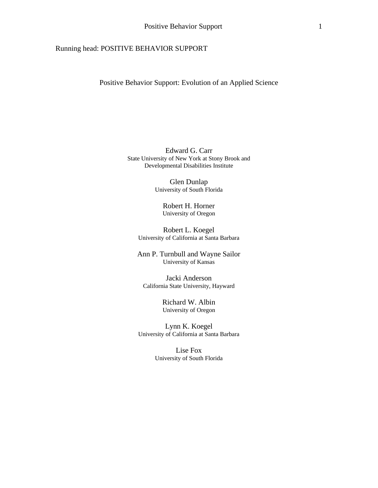# Running head: POSITIVE BEHAVIOR SUPPORT

Positive Behavior Support: Evolution of an Applied Science

Edward G. Carr State University of New York at Stony Brook and Developmental Disabilities Institute

> Glen Dunlap University of South Florida

> > Robert H. Horner University of Oregon

Robert L. Koegel University of California at Santa Barbara

Ann P. Turnbull and Wayne Sailor University of Kansas

Jacki Anderson California State University, Hayward

> Richard W. Albin University of Oregon

Lynn K. Koegel University of California at Santa Barbara

> Lise Fox University of South Florida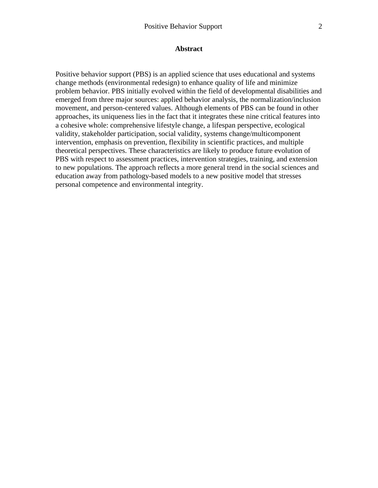Positive behavior support (PBS) is an applied science that uses educational and systems change methods (environmental redesign) to enhance quality of life and minimize problem behavior. PBS initially evolved within the field of developmental disabilities and emerged from three major sources: applied behavior analysis, the normalization/inclusion movement, and person-centered values. Although elements of PBS can be found in other approaches, its uniqueness lies in the fact that it integrates these nine critical features into a cohesive whole: comprehensive lifestyle change, a lifespan perspective, ecological validity, stakeholder participation, social validity, systems change/multicomponent intervention, emphasis on prevention, flexibility in scientific practices, and multiple theoretical perspectives. These characteristics are likely to produce future evolution of PBS with respect to assessment practices, intervention strategies, training, and extension to new populations. The approach reflects a more general trend in the social sciences and education away from pathology-based models to a new positive model that stresses personal competence and environmental integrity.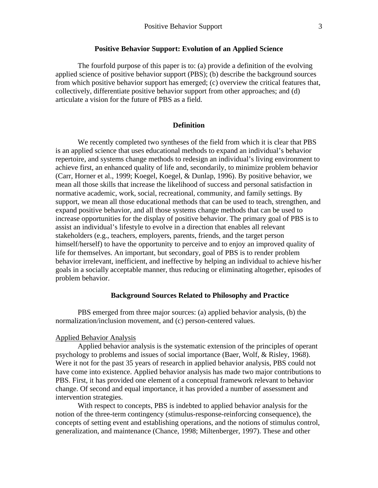#### **Positive Behavior Support: Evolution of an Applied Science**

The fourfold purpose of this paper is to: (a) provide a definition of the evolving applied science of positive behavior support (PBS); (b) describe the background sources from which positive behavior support has emerged; (c) overview the critical features that, collectively, differentiate positive behavior support from other approaches; and (d) articulate a vision for the future of PBS as a field.

#### **Definition**

We recently completed two syntheses of the field from which it is clear that PBS is an applied science that uses educational methods to expand an individual's behavior repertoire, and systems change methods to redesign an individual's living environment to achieve first, an enhanced quality of life and, secondarily, to minimize problem behavior (Carr, Horner et al., 1999; Koegel, Koegel, & Dunlap, 1996). By positive behavior, we mean all those skills that increase the likelihood of success and personal satisfaction in normative academic, work, social, recreational, community, and family settings. By support, we mean all those educational methods that can be used to teach, strengthen, and expand positive behavior, and all those systems change methods that can be used to increase opportunities for the display of positive behavior. The primary goal of PBS is to assist an individual's lifestyle to evolve in a direction that enables all relevant stakeholders (e.g., teachers, employers, parents, friends, and the target person himself/herself) to have the opportunity to perceive and to enjoy an improved quality of life for themselves. An important, but secondary, goal of PBS is to render problem behavior irrelevant, inefficient, and ineffective by helping an individual to achieve his/her goals in a socially acceptable manner, thus reducing or eliminating altogether, episodes of problem behavior.

### **Background Sources Related to Philosophy and Practice**

PBS emerged from three major sources: (a) applied behavior analysis, (b) the normalization/inclusion movement, and (c) person-centered values.

#### Applied Behavior Analysis

Applied behavior analysis is the systematic extension of the principles of operant psychology to problems and issues of social importance (Baer, Wolf, & Risley, 1968). Were it not for the past 35 years of research in applied behavior analysis, PBS could not have come into existence. Applied behavior analysis has made two major contributions to PBS. First, it has provided one element of a conceptual framework relevant to behavior change. Of second and equal importance, it has provided a number of assessment and intervention strategies.

With respect to concepts, PBS is indebted to applied behavior analysis for the notion of the three-term contingency (stimulus-response-reinforcing consequence), the concepts of setting event and establishing operations, and the notions of stimulus control, generalization, and maintenance (Chance, 1998; Miltenberger, 1997). These and other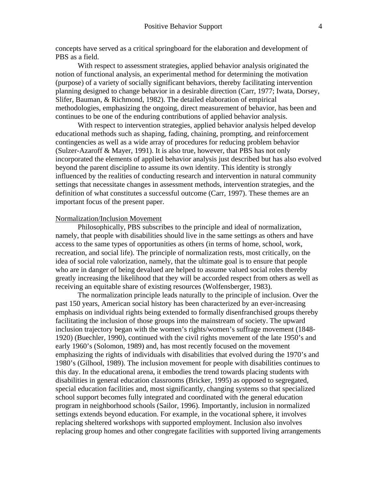concepts have served as a critical springboard for the elaboration and development of PBS as a field.

With respect to assessment strategies, applied behavior analysis originated the notion of functional analysis, an experimental method for determining the motivation (purpose) of a variety of socially significant behaviors, thereby facilitating intervention planning designed to change behavior in a desirable direction (Carr, 1977; Iwata, Dorsey, Slifer, Bauman, & Richmond, 1982). The detailed elaboration of empirical methodologies, emphasizing the ongoing, direct measurement of behavior, has been and continues to be one of the enduring contributions of applied behavior analysis.

With respect to intervention strategies, applied behavior analysis helped develop educational methods such as shaping, fading, chaining, prompting, and reinforcement contingencies as well as a wide array of procedures for reducing problem behavior (Sulzer-Azaroff & Mayer, 1991). It is also true, however, that PBS has not only incorporated the elements of applied behavior analysis just described but has also evolved beyond the parent discipline to assume its own identity. This identity is strongly influenced by the realities of conducting research and intervention in natural community settings that necessitate changes in assessment methods, intervention strategies, and the definition of what constitutes a successful outcome (Carr, 1997). These themes are an important focus of the present paper.

#### Normalization/Inclusion Movement

Philosophically, PBS subscribes to the principle and ideal of normalization, namely, that people with disabilities should live in the same settings as others and have access to the same types of opportunities as others (in terms of home, school, work, recreation, and social life). The principle of normalization rests, most critically, on the idea of social role valorization, namely, that the ultimate goal is to ensure that people who are in danger of being devalued are helped to assume valued social roles thereby greatly increasing the likelihood that they will be accorded respect from others as well as receiving an equitable share of existing resources (Wolfensberger, 1983).

The normalization principle leads naturally to the principle of inclusion. Over the past 150 years, American social history has been characterized by an ever-increasing emphasis on individual rights being extended to formally disenfranchised groups thereby facilitating the inclusion of those groups into the mainstream of society. The upward inclusion trajectory began with the women's rights/women's suffrage movement (1848- 1920) (Buechler, 1990), continued with the civil rights movement of the late 1950's and early 1960's (Solomon, 1989) and, has most recently focused on the movement emphasizing the rights of individuals with disabilities that evolved during the 1970's and 1980's (Gilhool, 1989). The inclusion movement for people with disabilities continues to this day. In the educational arena, it embodies the trend towards placing students with disabilities in general education classrooms (Bricker, 1995) as opposed to segregated, special education facilities and, most significantly, changing systems so that specialized school support becomes fully integrated and coordinated with the general education program in neighborhood schools (Sailor, 1996). Importantly, inclusion in normalized settings extends beyond education. For example, in the vocational sphere, it involves replacing sheltered workshops with supported employment. Inclusion also involves replacing group homes and other congregate facilities with supported living arrangements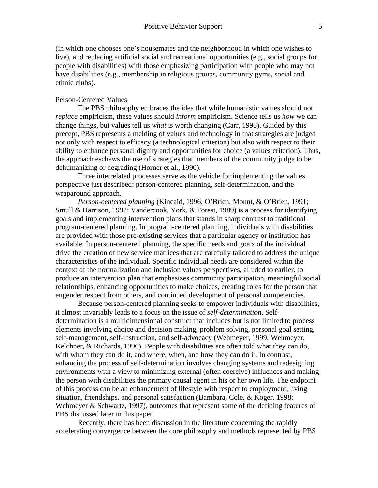(in which one chooses one's housemates and the neighborhood in which one wishes to live), and replacing artificial social and recreational opportunities (e.g., social groups for people with disabilities) with those emphasizing participation with people who may not have disabilities (e.g., membership in religious groups, community gyms, social and ethnic clubs).

### Person-Centered Values

The PBS philosophy embraces the idea that while humanistic values should not *replace* empiricism, these values should *inform* empiricism. Science tells us *how* we can change things, but values tell us *what* is worth changing (Carr, 1996). Guided by this precept, PBS represents a melding of values and technology in that strategies are judged not only with respect to efficacy (a technological criterion) but also with respect to their ability to enhance personal dignity and opportunities for choice (a values criterion). Thus, the approach eschews the use of strategies that members of the community judge to be dehumanizing or degrading (Horner et al., 1990).

Three interrelated processes serve as the vehicle for implementing the values perspective just described: person-centered planning, self-determination, and the wraparound approach.

*Person-centered planning* (Kincaid, 1996; O'Brien, Mount, & O'Brien, 1991; Smull & Harrison, 1992; Vandercook, York, & Forest, 1989) is a process for identifying goals and implementing intervention plans that stands in sharp contrast to traditional program-centered planning. In program-centered planning, individuals with disabilities are provided with those pre-existing services that a particular agency or institution has available. In person-centered planning, the specific needs and goals of the individual drive the creation of new service matrices that are carefully tailored to address the unique characteristics of the individual. Specific individual needs are considered within the context of the normalization and inclusion values perspectives, alluded to earlier, to produce an intervention plan that emphasizes community participation, meaningful social relationships, enhancing opportunities to make choices, creating roles for the person that engender respect from others, and continued development of personal competencies.

Because person-centered planning seeks to empower individuals with disabilities, it almost invariably leads to a focus on the issue of *self-determination*. Selfdetermination is a multidimensional construct that includes but is not limited to process elements involving choice and decision making, problem solving, personal goal setting, self-management, self-instruction, and self-advocacy (Wehmeyer, 1999; Wehmeyer, Kelchner, & Richards, 1996). People with disabilities are often told what they can do, with whom they can do it, and where, when, and how they can do it. In contrast, enhancing the process of self-determination involves changing systems and redesigning environments with a view to minimizing external (often coercive) influences and making the person with disabilities the primary causal agent in his or her own life. The endpoint of this process can be an enhancement of lifestyle with respect to employment, living situation, friendships, and personal satisfaction (Bambara, Cole, & Koger, 1998; Wehmeyer & Schwartz, 1997), outcomes that represent some of the defining features of PBS discussed later in this paper.

Recently, there has been discussion in the literature concerning the rapidly accelerating convergence between the core philosophy and methods represented by PBS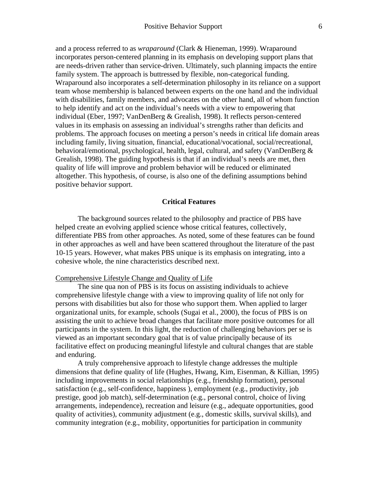and a process referred to as *wraparound* (Clark & Hieneman, 1999). Wraparound incorporates person-centered planning in its emphasis on developing support plans that are needs-driven rather than service-driven. Ultimately, such planning impacts the entire family system. The approach is buttressed by flexible, non-categorical funding. Wraparound also incorporates a self-determination philosophy in its reliance on a support team whose membership is balanced between experts on the one hand and the individual with disabilities, family members, and advocates on the other hand, all of whom function to help identify and act on the individual's needs with a view to empowering that individual (Eber, 1997; VanDenBerg & Grealish, 1998). It reflects person-centered values in its emphasis on assessing an individual's strengths rather than deficits and problems. The approach focuses on meeting a person's needs in critical life domain areas including family, living situation, financial, educational/vocational, social/recreational, behavioral/emotional, psychological, health, legal, cultural, and safety (VanDenBerg & Grealish, 1998). The guiding hypothesis is that if an individual's needs are met, then quality of life will improve and problem behavior will be reduced or eliminated altogether. This hypothesis, of course, is also one of the defining assumptions behind positive behavior support.

## **Critical Features**

The background sources related to the philosophy and practice of PBS have helped create an evolving applied science whose critical features, collectively, differentiate PBS from other approaches. As noted, some of these features can be found in other approaches as well and have been scattered throughout the literature of the past 10-15 years. However, what makes PBS unique is its emphasis on integrating, into a cohesive whole, the nine characteristics described next.

#### Comprehensive Lifestyle Change and Quality of Life

The sine qua non of PBS is its focus on assisting individuals to achieve comprehensive lifestyle change with a view to improving quality of life not only for persons with disabilities but also for those who support them. When applied to larger organizational units, for example, schools (Sugai et al., 2000), the focus of PBS is on assisting the unit to achieve broad changes that facilitate more positive outcomes for all participants in the system. In this light, the reduction of challenging behaviors per se is viewed as an important secondary goal that is of value principally because of its facilitative effect on producing meaningful lifestyle and cultural changes that are stable and enduring.

A truly comprehensive approach to lifestyle change addresses the multiple dimensions that define quality of life (Hughes, Hwang, Kim, Eisenman, & Killian, 1995) including improvements in social relationships (e.g., friendship formation), personal satisfaction (e.g., self-confidence, happiness ), employment (e.g., productivity, job prestige, good job match), self-determination (e.g., personal control, choice of living arrangements, independence), recreation and leisure (e.g., adequate opportunities, good quality of activities), community adjustment (e.g., domestic skills, survival skills), and community integration (e.g., mobility, opportunities for participation in community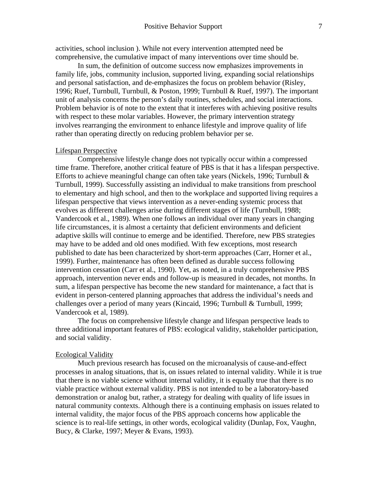activities, school inclusion ). While not every intervention attempted need be comprehensive, the cumulative impact of many interventions over time should be.

In sum, the definition of outcome success now emphasizes improvements in family life, jobs, community inclusion, supported living, expanding social relationships and personal satisfaction, and de-emphasizes the focus on problem behavior (Risley, 1996; Ruef, Turnbull, Turnbull, & Poston, 1999; Turnbull & Ruef, 1997). The important unit of analysis concerns the person's daily routines, schedules, and social interactions. Problem behavior is of note to the extent that it interferes with achieving positive results with respect to these molar variables. However, the primary intervention strategy involves rearranging the environment to enhance lifestyle and improve quality of life rather than operating directly on reducing problem behavior per se.

### Lifespan Perspective

Comprehensive lifestyle change does not typically occur within a compressed time frame. Therefore, another critical feature of PBS is that it has a lifespan perspective. Efforts to achieve meaningful change can often take years (Nickels, 1996; Turnbull  $\&$ Turnbull, 1999). Successfully assisting an individual to make transitions from preschool to elementary and high school, and then to the workplace and supported living requires a lifespan perspective that views intervention as a never-ending systemic process that evolves as different challenges arise during different stages of life (Turnbull, 1988; Vandercook et al., 1989). When one follows an individual over many years in changing life circumstances, it is almost a certainty that deficient environments and deficient adaptive skills will continue to emerge and be identified. Therefore, new PBS strategies may have to be added and old ones modified. With few exceptions, most research published to date has been characterized by short-term approaches (Carr, Horner et al., 1999). Further, maintenance has often been defined as durable success following intervention cessation (Carr et al., 1990). Yet, as noted, in a truly comprehensive PBS approach, intervention never ends and follow-up is measured in decades, not months. In sum, a lifespan perspective has become the new standard for maintenance, a fact that is evident in person-centered planning approaches that address the individual's needs and challenges over a period of many years (Kincaid, 1996; Turnbull & Turnbull, 1999; Vandercook et al, 1989).

The focus on comprehensive lifestyle change and lifespan perspective leads to three additional important features of PBS: ecological validity, stakeholder participation, and social validity.

#### Ecological Validity

Much previous research has focused on the microanalysis of cause-and-effect processes in analog situations, that is, on issues related to internal validity. While it is true that there is no viable science without internal validity, it is equally true that there is no viable practice without external validity. PBS is not intended to be a laboratory-based demonstration or analog but, rather, a strategy for dealing with quality of life issues in natural community contexts. Although there is a continuing emphasis on issues related to internal validity, the major focus of the PBS approach concerns how applicable the science is to real-life settings, in other words, ecological validity (Dunlap, Fox, Vaughn, Bucy, & Clarke, 1997; Meyer & Evans, 1993).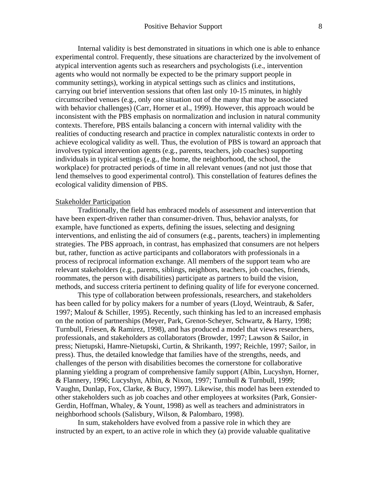Internal validity is best demonstrated in situations in which one is able to enhance experimental control. Frequently, these situations are characterized by the involvement of atypical intervention agents such as researchers and psychologists (i.e., intervention agents who would not normally be expected to be the primary support people in community settings), working in atypical settings such as clinics and institutions, carrying out brief intervention sessions that often last only 10-15 minutes, in highly circumscribed venues (e.g., only one situation out of the many that may be associated with behavior challenges) (Carr, Horner et al., 1999). However, this approach would be inconsistent with the PBS emphasis on normalization and inclusion in natural community contexts. Therefore, PBS entails balancing a concern with internal validity with the realities of conducting research and practice in complex naturalistic contexts in order to achieve ecological validity as well. Thus, the evolution of PBS is toward an approach that involves typical intervention agents (e.g., parents, teachers, job coaches) supporting individuals in typical settings (e.g., the home, the neighborhood, the school, the workplace) for protracted periods of time in all relevant venues (and not just those that lend themselves to good experimental control). This constellation of features defines the ecological validity dimension of PBS.

#### Stakeholder Participation

Traditionally, the field has embraced models of assessment and intervention that have been expert-driven rather than consumer-driven. Thus, behavior analysts, for example, have functioned as experts, defining the issues, selecting and designing interventions, and enlisting the aid of consumers (e.g., parents, teachers) in implementing strategies. The PBS approach, in contrast, has emphasized that consumers are not helpers but, rather, function as active participants and collaborators with professionals in a process of reciprocal information exchange. All members of the support team who are relevant stakeholders (e.g., parents, siblings, neighbors, teachers, job coaches, friends, roommates, the person with disabilities) participate as partners to build the vision, methods, and success criteria pertinent to defining quality of life for everyone concerned.

This type of collaboration between professionals, researchers, and stakeholders has been called for by policy makers for a number of years (Lloyd, Weintraub, & Safer, 1997; Malouf & Schiller, 1995). Recently, such thinking has led to an increased emphasis on the notion of partnerships (Meyer, Park, Grenot-Scheyer, Schwartz, & Harry, 1998; Turnbull, Friesen, & Ramirez, 1998), and has produced a model that views researchers, professionals, and stakeholders as collaborators (Browder, 1997; Lawson & Sailor, in press; Nietupski, Hamre-Nietupski, Curtin, & Shrikanth, 1997; Reichle, 1997; Sailor, in press). Thus, the detailed knowledge that families have of the strengths, needs, and challenges of the person with disabilities becomes the cornerstone for collaborative planning yielding a program of comprehensive family support (Albin, Lucyshyn, Horner, & Flannery, 1996; Lucyshyn, Albin, & Nixon, 1997; Turnbull & Turnbull, 1999; Vaughn, Dunlap, Fox, Clarke, & Bucy, 1997). Likewise, this model has been extended to other stakeholders such as job coaches and other employees at worksites (Park, Gonsier-Gerdin, Hoffman, Whaley, & Yount, 1998) as well as teachers and administrators in neighborhood schools (Salisbury, Wilson, & Palombaro, 1998).

In sum, stakeholders have evolved from a passive role in which they are instructed by an expert, to an active role in which they (a) provide valuable qualitative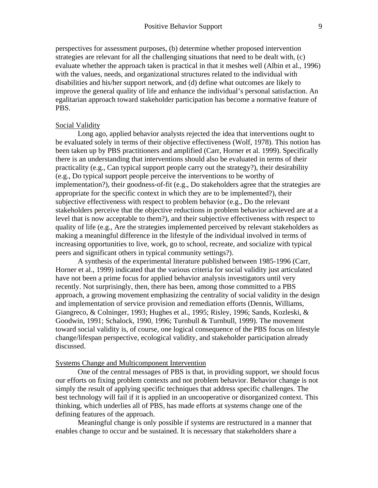perspectives for assessment purposes, (b) determine whether proposed intervention strategies are relevant for all the challenging situations that need to be dealt with, (c) evaluate whether the approach taken is practical in that it meshes well (Albin et al., 1996) with the values, needs, and organizational structures related to the individual with disabilities and his/her support network, and (d) define what outcomes are likely to improve the general quality of life and enhance the individual's personal satisfaction. An egalitarian approach toward stakeholder participation has become a normative feature of PBS.

#### Social Validity

Long ago, applied behavior analysts rejected the idea that interventions ought to be evaluated solely in terms of their objective effectiveness (Wolf, 1978). This notion has been taken up by PBS practitioners and amplified (Carr, Horner et al. 1999). Specifically there is an understanding that interventions should also be evaluated in terms of their practicality (e.g., Can typical support people carry out the strategy?), their desirability (e.g., Do typical support people perceive the interventions to be worthy of implementation?), their goodness-of-fit (e.g., Do stakeholders agree that the strategies are appropriate for the specific context in which they are to be implemented?), their subjective effectiveness with respect to problem behavior (e.g., Do the relevant stakeholders perceive that the objective reductions in problem behavior achieved are at a level that is now acceptable to them?), and their subjective effectiveness with respect to quality of life (e.g., Are the strategies implemented perceived by relevant stakeholders as making a meaningful difference in the lifestyle of the individual involved in terms of increasing opportunities to live, work, go to school, recreate, and socialize with typical peers and significant others in typical community settings?).

A synthesis of the experimental literature published between 1985-1996 (Carr, Horner et al., 1999) indicated that the various criteria for social validity just articulated have not been a prime focus for applied behavior analysis investigators until very recently. Not surprisingly, then, there has been, among those committed to a PBS approach, a growing movement emphasizing the centrality of social validity in the design and implementation of service provision and remediation efforts (Dennis, Williams, Giangreco, & Colninger, 1993; Hughes et al., 1995; Risley, 1996; Sands, Kozleski, & Goodwin, 1991; Schalock, 1990, 1996; Turnbull & Turnbull, 1999). The movement toward social validity is, of course, one logical consequence of the PBS focus on lifestyle change/lifespan perspective, ecological validity, and stakeholder participation already discussed.

#### Systems Change and Multicomponent Intervention

One of the central messages of PBS is that, in providing support, we should focus our efforts on fixing problem contexts and not problem behavior. Behavior change is not simply the result of applying specific techniques that address specific challenges. The best technology will fail if it is applied in an uncooperative or disorganized context. This thinking, which underlies all of PBS, has made efforts at systems change one of the defining features of the approach.

Meaningful change is only possible if systems are restructured in a manner that enables change to occur and be sustained. It is necessary that stakeholders share a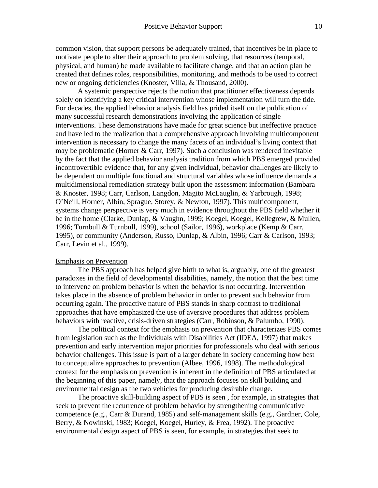common vision, that support persons be adequately trained, that incentives be in place to motivate people to alter their approach to problem solving, that resources (temporal, physical, and human) be made available to facilitate change, and that an action plan be created that defines roles, responsibilities, monitoring, and methods to be used to correct new or ongoing deficiencies (Knoster, Villa, & Thousand, 2000).

A systemic perspective rejects the notion that practitioner effectiveness depends solely on identifying a key critical intervention whose implementation will turn the tide. For decades, the applied behavior analysis field has prided itself on the publication of many successful research demonstrations involving the application of single interventions. These demonstrations have made for great science but ineffective practice and have led to the realization that a comprehensive approach involving multicomponent intervention is necessary to change the many facets of an individual's living context that may be problematic (Horner & Carr, 1997). Such a conclusion was rendered inevitable by the fact that the applied behavior analysis tradition from which PBS emerged provided incontrovertible evidence that, for any given individual, behavior challenges are likely to be dependent on multiple functional and structural variables whose influence demands a multidimensional remediation strategy built upon the assessment information (Bambara & Knoster, 1998; Carr, Carlson, Langdon, Magito McLauglin, & Yarbrough, 1998; O'Neill, Horner, Albin, Sprague, Storey, & Newton, 1997). This multicomponent, systems change perspective is very much in evidence throughout the PBS field whether it be in the home (Clarke, Dunlap, & Vaughn, 1999; Koegel, Koegel, Kellegrew, & Mullen, 1996; Turnbull & Turnbull, 1999), school (Sailor, 1996), workplace (Kemp & Carr, 1995), or community (Anderson, Russo, Dunlap, & Albin, 1996; Carr & Carlson, 1993; Carr, Levin et al., 1999).

## Emphasis on Prevention

The PBS approach has helped give birth to what is, arguably, one of the greatest paradoxes in the field of developmental disabilities, namely, the notion that the best time to intervene on problem behavior is when the behavior is not occurring. Intervention takes place in the absence of problem behavior in order to prevent such behavior from occurring again. The proactive nature of PBS stands in sharp contrast to traditional approaches that have emphasized the use of aversive procedures that address problem behaviors with reactive, crisis-driven strategies (Carr, Robinson, & Palumbo, 1990).

The political context for the emphasis on prevention that characterizes PBS comes from legislation such as the Individuals with Disabilities Act (IDEA, 1997) that makes prevention and early intervention major priorities for professionals who deal with serious behavior challenges. This issue is part of a larger debate in society concerning how best to conceptualize approaches to prevention (Albee, 1996, 1998). The methodological context for the emphasis on prevention is inherent in the definition of PBS articulated at the beginning of this paper, namely, that the approach focuses on skill building and environmental design as the two vehicles for producing desirable change.

The proactive skill-building aspect of PBS is seen , for example, in strategies that seek to prevent the recurrence of problem behavior by strengthening communicative competence (e.g., Carr & Durand, 1985) and self-management skills (e.g., Gardner, Cole, Berry, & Nowinski, 1983; Koegel, Koegel, Hurley, & Frea, 1992). The proactive environmental design aspect of PBS is seen, for example, in strategies that seek to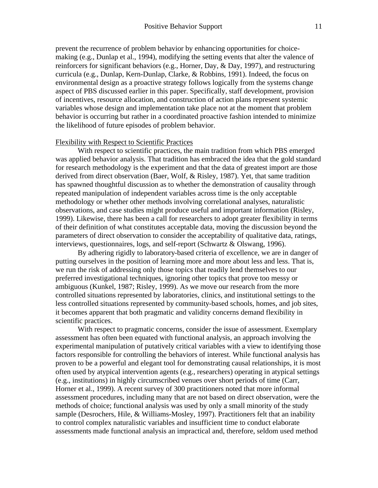prevent the recurrence of problem behavior by enhancing opportunities for choicemaking (e.g., Dunlap et al., 1994), modifying the setting events that alter the valence of reinforcers for significant behaviors (e.g., Horner, Day, & Day, 1997), and restructuring curricula (e.g., Dunlap, Kern-Dunlap, Clarke, & Robbins, 1991). Indeed, the focus on environmental design as a proactive strategy follows logically from the systems change aspect of PBS discussed earlier in this paper. Specifically, staff development, provision of incentives, resource allocation, and construction of action plans represent systemic variables whose design and implementation take place not at the moment that problem behavior is occurring but rather in a coordinated proactive fashion intended to minimize the likelihood of future episodes of problem behavior.

### Flexibility with Respect to Scientific Practices

With respect to scientific practices, the main tradition from which PBS emerged was applied behavior analysis. That tradition has embraced the idea that the gold standard for research methodology is the experiment and that the data of greatest import are those derived from direct observation (Baer, Wolf, & Risley, 1987). Yet, that same tradition has spawned thoughtful discussion as to whether the demonstration of causality through repeated manipulation of independent variables across time is the only acceptable methodology or whether other methods involving correlational analyses, naturalistic observations, and case studies might produce useful and important information (Risley, 1999). Likewise, there has been a call for researchers to adopt greater flexibility in terms of their definition of what constitutes acceptable data, moving the discussion beyond the parameters of direct observation to consider the acceptability of qualitative data, ratings, interviews, questionnaires, logs, and self-report (Schwartz & Olswang, 1996).

By adhering rigidly to laboratory-based criteria of excellence, we are in danger of putting ourselves in the position of learning more and more about less and less. That is, we run the risk of addressing only those topics that readily lend themselves to our preferred investigational techniques, ignoring other topics that prove too messy or ambiguous (Kunkel, 1987; Risley, 1999). As we move our research from the more controlled situations represented by laboratories, clinics, and institutional settings to the less controlled situations represented by community-based schools, homes, and job sites, it becomes apparent that both pragmatic and validity concerns demand flexibility in scientific practices.

With respect to pragmatic concerns, consider the issue of assessment. Exemplary assessment has often been equated with functional analysis, an approach involving the experimental manipulation of putatively critical variables with a view to identifying those factors responsible for controlling the behaviors of interest. While functional analysis has proven to be a powerful and elegant tool for demonstrating causal relationships, it is most often used by atypical intervention agents (e.g., researchers) operating in atypical settings (e.g., institutions) in highly circumscribed venues over short periods of time (Carr, Horner et al., 1999). A recent survey of 300 practitioners noted that more informal assessment procedures, including many that are not based on direct observation, were the methods of choice; functional analysis was used by only a small minority of the study sample (Desrochers, Hile, & Williams-Mosley, 1997). Practitioners felt that an inability to control complex naturalistic variables and insufficient time to conduct elaborate assessments made functional analysis an impractical and, therefore, seldom used method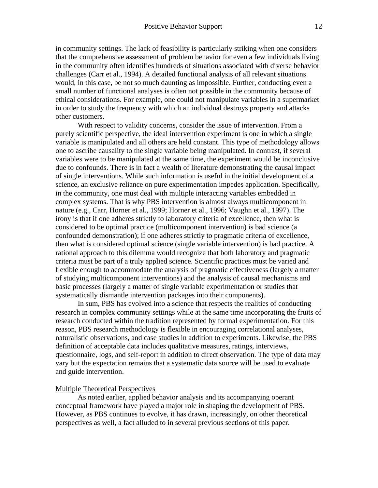in community settings. The lack of feasibility is particularly striking when one considers that the comprehensive assessment of problem behavior for even a few individuals living in the community often identifies hundreds of situations associated with diverse behavior challenges (Carr et al., 1994). A detailed functional analysis of all relevant situations would, in this case, be not so much daunting as impossible. Further, conducting even a small number of functional analyses is often not possible in the community because of ethical considerations. For example, one could not manipulate variables in a supermarket in order to study the frequency with which an individual destroys property and attacks other customers.

With respect to validity concerns, consider the issue of intervention. From a purely scientific perspective, the ideal intervention experiment is one in which a single variable is manipulated and all others are held constant. This type of methodology allows one to ascribe causality to the single variable being manipulated. In contrast, if several variables were to be manipulated at the same time, the experiment would be inconclusive due to confounds. There is in fact a wealth of literature demonstrating the causal impact of single interventions. While such information is useful in the initial development of a science, an exclusive reliance on pure experimentation impedes application. Specifically, in the community, one must deal with multiple interacting variables embedded in complex systems. That is why PBS intervention is almost always multicomponent in nature (e.g., Carr, Horner et al., 1999; Horner et al., 1996; Vaughn et al., 1997). The irony is that if one adheres strictly to laboratory criteria of excellence, then what is considered to be optimal practice (multicomponent intervention) is bad science (a confounded demonstration); if one adheres strictly to pragmatic criteria of excellence, then what is considered optimal science (single variable intervention) is bad practice. A rational approach to this dilemma would recognize that both laboratory and pragmatic criteria must be part of a truly applied science. Scientific practices must be varied and flexible enough to accommodate the analysis of pragmatic effectiveness (largely a matter of studying multicomponent interventions) and the analysis of causal mechanisms and basic processes (largely a matter of single variable experimentation or studies that systematically dismantle intervention packages into their components).

In sum, PBS has evolved into a science that respects the realities of conducting research in complex community settings while at the same time incorporating the fruits of research conducted within the tradition represented by formal experimentation. For this reason, PBS research methodology is flexible in encouraging correlational analyses, naturalistic observations, and case studies in addition to experiments. Likewise, the PBS definition of acceptable data includes qualitative measures, ratings, interviews, questionnaire, logs, and self-report in addition to direct observation. The type of data may vary but the expectation remains that a systematic data source will be used to evaluate and guide intervention.

## Multiple Theoretical Perspectives

As noted earlier, applied behavior analysis and its accompanying operant conceptual framework have played a major role in shaping the development of PBS. However, as PBS continues to evolve, it has drawn, increasingly, on other theoretical perspectives as well, a fact alluded to in several previous sections of this paper.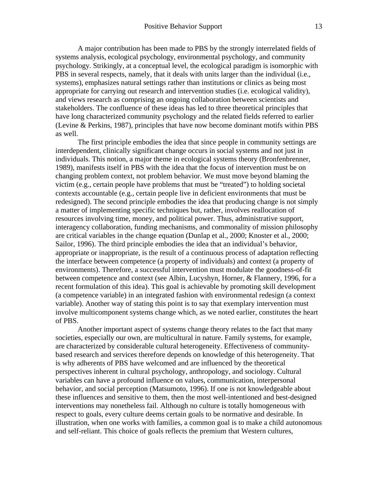A major contribution has been made to PBS by the strongly interrelated fields of systems analysis, ecological psychology, environmental psychology, and community psychology. Strikingly, at a conceptual level, the ecological paradigm is isomorphic with PBS in several respects, namely, that it deals with units larger than the individual (i.e., systems), emphasizes natural settings rather than institutions or clinics as being most appropriate for carrying out research and intervention studies (i.e. ecological validity), and views research as comprising an ongoing collaboration between scientists and stakeholders. The confluence of these ideas has led to three theoretical principles that have long characterized community psychology and the related fields referred to earlier (Levine & Perkins, 1987), principles that have now become dominant motifs within PBS as well.

The first principle embodies the idea that since people in community settings are interdependent, clinically significant change occurs in social systems and not just in individuals. This notion, a major theme in ecological systems theory (Bronfenbrenner, 1989), manifests itself in PBS with the idea that the focus of intervention must be on changing problem context, not problem behavior. We must move beyond blaming the victim (e.g., certain people have problems that must be "treated") to holding societal contexts accountable (e.g., certain people live in deficient environments that must be redesigned). The second principle embodies the idea that producing change is not simply a matter of implementing specific techniques but, rather, involves reallocation of resources involving time, money, and political power. Thus, administrative support, interagency collaboration, funding mechanisms, and commonality of mission philosophy are critical variables in the change equation (Dunlap et al., 2000; Knoster et al., 2000; Sailor, 1996). The third principle embodies the idea that an individual's behavior, appropriate or inappropriate, is the result of a continuous process of adaptation reflecting the interface between competence (a property of individuals) and context (a property of environments). Therefore, a successful intervention must modulate the goodness-of-fit between competence and context (see Albin, Lucyshyn, Horner, & Flannery, 1996, for a recent formulation of this idea). This goal is achievable by promoting skill development (a competence variable) in an integrated fashion with environmental redesign (a context variable). Another way of stating this point is to say that exemplary intervention must involve multicomponent systems change which, as we noted earlier, constitutes the heart of PBS.

Another important aspect of systems change theory relates to the fact that many societies, especially our own, are multicultural in nature. Family systems, for example, are characterized by considerable cultural heterogeneity. Effectiveness of communitybased research and services therefore depends on knowledge of this heterogeneity. That is why adherents of PBS have welcomed and are influenced by the theoretical perspectives inherent in cultural psychology, anthropology, and sociology. Cultural variables can have a profound influence on values, communication, interpersonal behavior, and social perception (Matsumoto, 1996). If one is not knowledgeable about these influences and sensitive to them, then the most well-intentioned and best-designed interventions may nonetheless fail. Although no culture is totally homogeneous with respect to goals, every culture deems certain goals to be normative and desirable. In illustration, when one works with families, a common goal is to make a child autonomous and self-reliant. This choice of goals reflects the premium that Western cultures,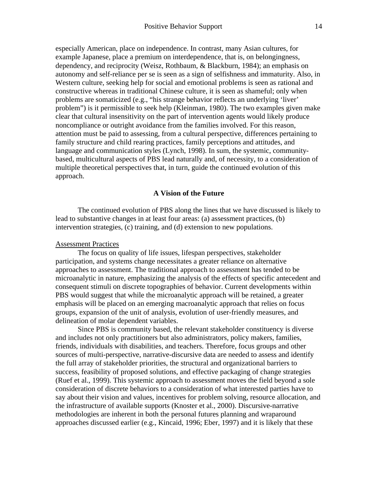especially American, place on independence. In contrast, many Asian cultures, for example Japanese, place a premium on interdependence, that is, on belongingness, dependency, and reciprocity (Weisz, Rothbaum, & Blackburn, 1984); an emphasis on autonomy and self-reliance per se is seen as a sign of selfishness and immaturity. Also, in Western culture, seeking help for social and emotional problems is seen as rational and constructive whereas in traditional Chinese culture, it is seen as shameful; only when problems are somaticized (e.g., "his strange behavior reflects an underlying 'liver' problem") is it permissible to seek help (Kleinman, 1980). The two examples given make clear that cultural insensitivity on the part of intervention agents would likely produce noncompliance or outright avoidance from the families involved. For this reason, attention must be paid to assessing, from a cultural perspective, differences pertaining to family structure and child rearing practices, family perceptions and attitudes, and language and communication styles (Lynch, 1998). In sum, the systemic, communitybased, multicultural aspects of PBS lead naturally and, of necessity, to a consideration of multiple theoretical perspectives that, in turn, guide the continued evolution of this approach.

#### **A Vision of the Future**

The continued evolution of PBS along the lines that we have discussed is likely to lead to substantive changes in at least four areas: (a) assessment practices, (b) intervention strategies, (c) training, and (d) extension to new populations.

### Assessment Practices

The focus on quality of life issues, lifespan perspectives, stakeholder participation, and systems change necessitates a greater reliance on alternative approaches to assessment. The traditional approach to assessment has tended to be microanalytic in nature, emphasizing the analysis of the effects of specific antecedent and consequent stimuli on discrete topographies of behavior. Current developments within PBS would suggest that while the microanalytic approach will be retained, a greater emphasis will be placed on an emerging macroanalytic approach that relies on focus groups, expansion of the unit of analysis, evolution of user-friendly measures, and delineation of molar dependent variables.

Since PBS is community based, the relevant stakeholder constituency is diverse and includes not only practitioners but also administrators, policy makers, families, friends, individuals with disabilities, and teachers. Therefore, focus groups and other sources of multi-perspective, narrative-discursive data are needed to assess and identify the full array of stakeholder priorities, the structural and organizational barriers to success, feasibility of proposed solutions, and effective packaging of change strategies (Ruef et al., 1999). This systemic approach to assessment moves the field beyond a sole consideration of discrete behaviors to a consideration of what interested parties have to say about their vision and values, incentives for problem solving, resource allocation, and the infrastructure of available supports (Knoster et al., 2000). Discursive-narrative methodologies are inherent in both the personal futures planning and wraparound approaches discussed earlier (e.g., Kincaid, 1996; Eber, 1997) and it is likely that these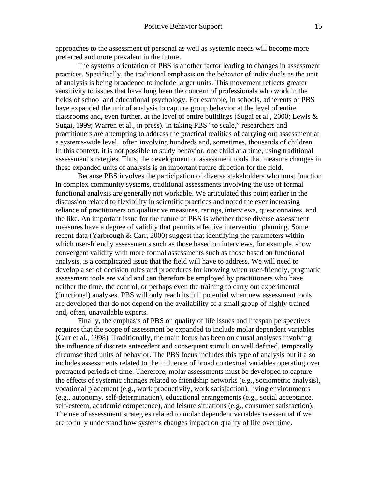approaches to the assessment of personal as well as systemic needs will become more preferred and more prevalent in the future.

The systems orientation of PBS is another factor leading to changes in assessment practices. Specifically, the traditional emphasis on the behavior of individuals as the unit of analysis is being broadened to include larger units. This movement reflects greater sensitivity to issues that have long been the concern of professionals who work in the fields of school and educational psychology. For example, in schools, adherents of PBS have expanded the unit of analysis to capture group behavior at the level of entire classrooms and, even further, at the level of entire buildings (Sugai et al., 2000; Lewis  $\&$ Sugai, 1999; Warren et al., in press). In taking PBS "to scale," researchers and practitioners are attempting to address the practical realities of carrying out assessment at a systems-wide level, often involving hundreds and, sometimes, thousands of children. In this context, it is not possible to study behavior, one child at a time, using traditional assessment strategies. Thus, the development of assessment tools that measure changes in these expanded units of analysis is an important future direction for the field.

Because PBS involves the participation of diverse stakeholders who must function in complex community systems, traditional assessments involving the use of formal functional analysis are generally not workable. We articulated this point earlier in the discussion related to flexibility in scientific practices and noted the ever increasing reliance of practitioners on qualitative measures, ratings, interviews, questionnaires, and the like. An important issue for the future of PBS is whether these diverse assessment measures have a degree of validity that permits effective intervention planning. Some recent data (Yarbrough & Carr, 2000) suggest that identifying the parameters within which user-friendly assessments such as those based on interviews, for example, show convergent validity with more formal assessments such as those based on functional analysis, is a complicated issue that the field will have to address. We will need to develop a set of decision rules and procedures for knowing when user-friendly, pragmatic assessment tools are valid and can therefore be employed by practitioners who have neither the time, the control, or perhaps even the training to carry out experimental (functional) analyses. PBS will only reach its full potential when new assessment tools are developed that do not depend on the availability of a small group of highly trained and, often, unavailable experts.

Finally, the emphasis of PBS on quality of life issues and lifespan perspectives requires that the scope of assessment be expanded to include molar dependent variables (Carr et al., 1998). Traditionally, the main focus has been on causal analyses involving the influence of discrete antecedent and consequent stimuli on well defined, temporally circumscribed units of behavior. The PBS focus includes this type of analysis but it also includes assessments related to the influence of broad contextual variables operating over protracted periods of time. Therefore, molar assessments must be developed to capture the effects of systemic changes related to friendship networks (e.g., sociometric analysis), vocational placement (e.g., work productivity, work satisfaction), living environments (e.g., autonomy, self-determination), educational arrangements (e.g., social acceptance, self-esteem, academic competence), and leisure situations (e.g., consumer satisfaction). The use of assessment strategies related to molar dependent variables is essential if we are to fully understand how systems changes impact on quality of life over time.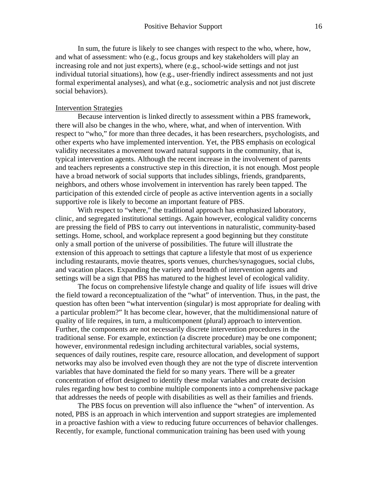In sum, the future is likely to see changes with respect to the who, where, how, and what of assessment: who (e.g., focus groups and key stakeholders will play an increasing role and not just experts), where (e.g., school-wide settings and not just individual tutorial situations), how (e.g., user-friendly indirect assessments and not just formal experimental analyses), and what (e.g., sociometric analysis and not just discrete social behaviors).

#### Intervention Strategies

Because intervention is linked directly to assessment within a PBS framework, there will also be changes in the who, where, what, and when of intervention. With respect to "who," for more than three decades, it has been researchers, psychologists, and other experts who have implemented intervention. Yet, the PBS emphasis on ecological validity necessitates a movement toward natural supports in the community, that is, typical intervention agents. Although the recent increase in the involvement of parents and teachers represents a constructive step in this direction, it is not enough. Most people have a broad network of social supports that includes siblings, friends, grandparents, neighbors, and others whose involvement in intervention has rarely been tapped. The participation of this extended circle of people as active intervention agents in a socially supportive role is likely to become an important feature of PBS.

With respect to "where," the traditional approach has emphasized laboratory, clinic, and segregated institutional settings. Again however, ecological validity concerns are pressing the field of PBS to carry out interventions in naturalistic, community-based settings. Home, school, and workplace represent a good beginning but they constitute only a small portion of the universe of possibilities. The future will illustrate the extension of this approach to settings that capture a lifestyle that most of us experience including restaurants, movie theatres, sports venues, churches/synagogues, social clubs, and vacation places. Expanding the variety and breadth of intervention agents and settings will be a sign that PBS has matured to the highest level of ecological validity.

The focus on comprehensive lifestyle change and quality of life issues will drive the field toward a reconceptualization of the "what" of intervention. Thus, in the past, the question has often been "what intervention (singular) is most appropriate for dealing with a particular problem?" It has become clear, however, that the multidimensional nature of quality of life requires, in turn, a multicomponent (plural) approach to intervention. Further, the components are not necessarily discrete intervention procedures in the traditional sense. For example, extinction (a discrete procedure) may be one component; however, environmental redesign including architectural variables, social systems, sequences of daily routines, respite care, resource allocation, and development of support networks may also be involved even though they are not the type of discrete intervention variables that have dominated the field for so many years. There will be a greater concentration of effort designed to identify these molar variables and create decision rules regarding how best to combine multiple components into a comprehensive package that addresses the needs of people with disabilities as well as their families and friends.

The PBS focus on prevention will also influence the "when" of intervention. As noted, PBS is an approach in which intervention and support strategies are implemented in a proactive fashion with a view to reducing future occurrences of behavior challenges. Recently, for example, functional communication training has been used with young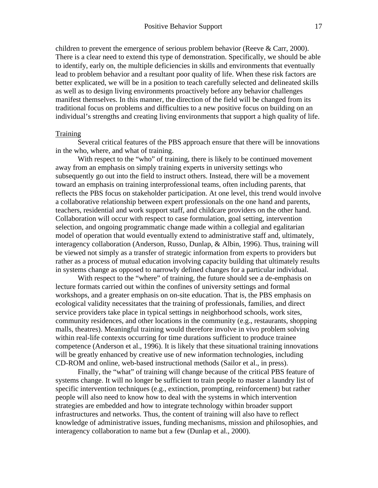children to prevent the emergence of serious problem behavior (Reeve  $\&$  Carr, 2000). There is a clear need to extend this type of demonstration. Specifically, we should be able to identify, early on, the multiple deficiencies in skills and environments that eventually lead to problem behavior and a resultant poor quality of life. When these risk factors are better explicated, we will be in a position to teach carefully selected and delineated skills as well as to design living environments proactively before any behavior challenges manifest themselves. In this manner, the direction of the field will be changed from its traditional focus on problems and difficulties to a new positive focus on building on an individual's strengths and creating living environments that support a high quality of life.

### **Training**

Several critical features of the PBS approach ensure that there will be innovations in the who, where, and what of training.

With respect to the "who" of training, there is likely to be continued movement away from an emphasis on simply training experts in university settings who subsequently go out into the field to instruct others. Instead, there will be a movement toward an emphasis on training interprofessional teams, often including parents, that reflects the PBS focus on stakeholder participation. At one level, this trend would involve a collaborative relationship between expert professionals on the one hand and parents, teachers, residential and work support staff, and childcare providers on the other hand. Collaboration will occur with respect to case formulation, goal setting, intervention selection, and ongoing programmatic change made within a collegial and egalitarian model of operation that would eventually extend to administrative staff and, ultimately, interagency collaboration (Anderson, Russo, Dunlap, & Albin, 1996). Thus, training will be viewed not simply as a transfer of strategic information from experts to providers but rather as a process of mutual education involving capacity building that ultimately results in systems change as opposed to narrowly defined changes for a particular individual.

With respect to the "where" of training, the future should see a de-emphasis on lecture formats carried out within the confines of university settings and formal workshops, and a greater emphasis on on-site education. That is, the PBS emphasis on ecological validity necessitates that the training of professionals, families, and direct service providers take place in typical settings in neighborhood schools, work sites, community residences, and other locations in the community (e.g., restaurants, shopping malls, theatres). Meaningful training would therefore involve in vivo problem solving within real-life contexts occurring for time durations sufficient to produce trainee competence (Anderson et al., 1996). It is likely that these situational training innovations will be greatly enhanced by creative use of new information technologies, including CD-ROM and online, web-based instructional methods (Sailor et al., in press).

Finally, the "what" of training will change because of the critical PBS feature of systems change. It will no longer be sufficient to train people to master a laundry list of specific intervention techniques (e.g., extinction, prompting, reinforcement) but rather people will also need to know how to deal with the systems in which intervention strategies are embedded and how to integrate technology within broader support infrastructures and networks. Thus, the content of training will also have to reflect knowledge of administrative issues, funding mechanisms, mission and philosophies, and interagency collaboration to name but a few (Dunlap et al., 2000).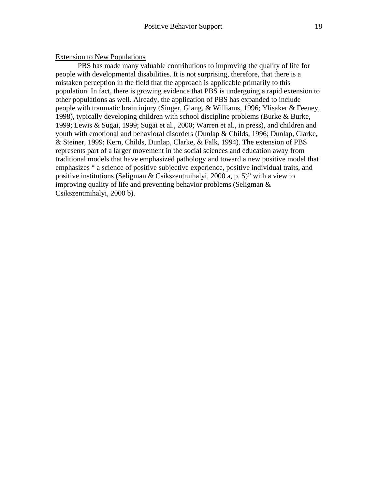### Extension to New Populations

PBS has made many valuable contributions to improving the quality of life for people with developmental disabilities. It is not surprising, therefore, that there is a mistaken perception in the field that the approach is applicable primarily to this population. In fact, there is growing evidence that PBS is undergoing a rapid extension to other populations as well. Already, the application of PBS has expanded to include people with traumatic brain injury (Singer, Glang, & Williams, 1996; Ylisaker & Feeney, 1998), typically developing children with school discipline problems (Burke & Burke, 1999; Lewis & Sugai, 1999; Sugai et al., 2000; Warren et al., in press), and children and youth with emotional and behavioral disorders (Dunlap & Childs, 1996; Dunlap, Clarke, & Steiner, 1999; Kern, Childs, Dunlap, Clarke, & Falk, 1994). The extension of PBS represents part of a larger movement in the social sciences and education away from traditional models that have emphasized pathology and toward a new positive model that emphasizes " a science of positive subjective experience, positive individual traits, and positive institutions (Seligman & Csikszentmihalyi, 2000 a, p. 5)" with a view to improving quality of life and preventing behavior problems (Seligman & Csikszentmihalyi, 2000 b).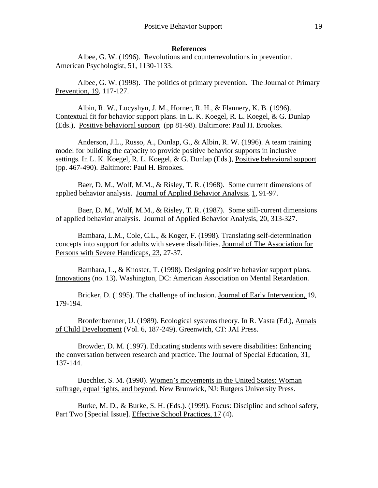### **References**

Albee, G. W. (1996). Revolutions and counterrevolutions in prevention. American Psychologist, 51, 1130-1133.

Albee, G. W. (1998). The politics of primary prevention. The Journal of Primary Prevention, 19, 117-127.

Albin, R. W., Lucyshyn, J. M., Horner, R. H., & Flannery, K. B. (1996). Contextual fit for behavior support plans. In L. K. Koegel, R. L. Koegel, & G. Dunlap (Eds.), Positive behavioral support (pp 81-98). Baltimore: Paul H. Brookes.

Anderson, J.L., Russo, A., Dunlap, G., & Albin, R. W. (1996). A team training model for building the capacity to provide positive behavior supports in inclusive settings. In L. K. Koegel, R. L. Koegel, & G. Dunlap (Eds.), Positive behavioral support (pp. 467-490). Baltimore: Paul H. Brookes.

Baer, D. M., Wolf, M.M., & Risley, T. R. (1968). Some current dimensions of applied behavior analysis. Journal of Applied Behavior Analysis, 1, 91-97.

Baer, D. M., Wolf, M.M., & Risley, T. R. (1987). Some still-current dimensions of applied behavior analysis. Journal of Applied Behavior Analysis, 20, 313-327.

Bambara, L.M., Cole, C.L., & Koger, F. (1998). Translating self-determination concepts into support for adults with severe disabilities. Journal of The Association for Persons with Severe Handicaps, 23, 27-37.

Bambara, L., & Knoster, T. (1998). Designing positive behavior support plans. Innovations (no. 13). Washington, DC: American Association on Mental Retardation.

Bricker, D. (1995). The challenge of inclusion. Journal of Early Intervention, 19, 179-194.

Bronfenbrenner, U. (1989). Ecological systems theory. In R. Vasta (Ed.), Annals of Child Development (Vol. 6, 187-249). Greenwich, CT: JAI Press.

Browder, D. M. (1997). Educating students with severe disabilities: Enhancing the conversation between research and practice. The Journal of Special Education, 31, 137-144.

Buechler, S. M. (1990). Women's movements in the United States: Woman suffrage, equal rights, and beyond. New Brunwick, NJ: Rutgers University Press.

Burke, M. D., & Burke, S. H. (Eds.). (1999). Focus: Discipline and school safety, Part Two [Special Issue]. Effective School Practices, 17 (4).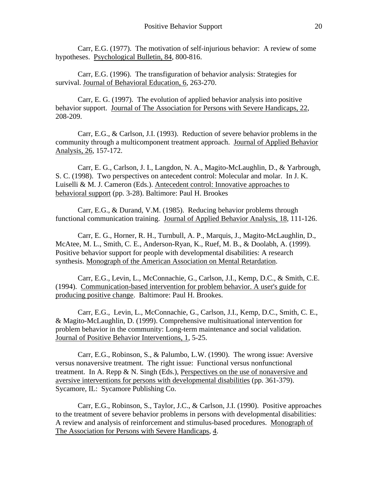Carr, E.G. (1977). The motivation of self-injurious behavior: A review of some hypotheses. Psychological Bulletin, 84, 800-816.

Carr, E.G. (1996). The transfiguration of behavior analysis: Strategies for survival. Journal of Behavioral Education, 6, 263-270.

Carr, E. G. (1997). The evolution of applied behavior analysis into positive behavior support. Journal of The Association for Persons with Severe Handicaps, 22, 208-209.

Carr, E.G., & Carlson, J.I. (1993). Reduction of severe behavior problems in the community through a multicomponent treatment approach. Journal of Applied Behavior Analysis, 26, 157-172.

Carr, E. G., Carlson, J. I., Langdon, N. A., Magito-McLaughlin, D., & Yarbrough, S. C. (1998). Two perspectives on antecedent control: Molecular and molar. In J. K. Luiselli & M. J. Cameron (Eds.). Antecedent control: Innovative approaches to behavioral support (pp. 3-28). Baltimore: Paul H. Brookes

Carr, E.G., & Durand, V.M. (1985). Reducing behavior problems through functional communication training. Journal of Applied Behavior Analysis, 18, 111-126.

Carr, E. G., Horner, R. H., Turnbull, A. P., Marquis, J., Magito-McLaughlin, D., McAtee, M. L., Smith, C. E., Anderson-Ryan, K., Ruef, M. B., & Doolabh, A. (1999). Positive behavior support for people with developmental disabilities: A research synthesis. Monograph of the American Association on Mental Retardation.

Carr, E.G., Levin, L., McConnachie, G., Carlson, J.I., Kemp, D.C., & Smith, C.E. (1994). Communication-based intervention for problem behavior. A user's guide for producing positive change. Baltimore: Paul H. Brookes.

Carr, E.G., Levin, L., McConnachie, G., Carlson, J.I., Kemp, D.C., Smith, C. E., & Magito-McLaughlin, D. (1999). Comprehensive multisituational intervention for problem behavior in the community: Long-term maintenance and social validation. Journal of Positive Behavior Interventions, 1, 5-25.

Carr, E.G., Robinson, S., & Palumbo, L.W. (1990). The wrong issue: Aversive versus nonaversive treatment. The right issue: Functional versus nonfunctional treatment. In A. Repp  $\& N.$  Singh (Eds.), Perspectives on the use of nonaversive and aversive interventions for persons with developmental disabilities (pp. 361-379). Sycamore, IL: Sycamore Publishing Co.

Carr, E.G., Robinson, S., Taylor, J.C., & Carlson, J.I. (1990). Positive approaches to the treatment of severe behavior problems in persons with developmental disabilities: A review and analysis of reinforcement and stimulus-based procedures. Monograph of The Association for Persons with Severe Handicaps, 4.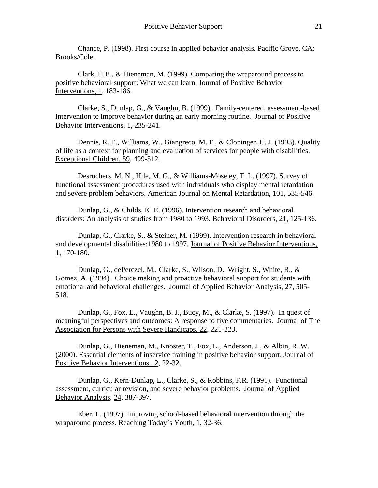Chance, P. (1998). First course in applied behavior analysis. Pacific Grove, CA: Brooks/Cole.

Clark, H.B., & Hieneman, M. (1999). Comparing the wraparound process to positive behavioral support: What we can learn. Journal of Positive Behavior Interventions, 1, 183-186.

Clarke, S., Dunlap, G., & Vaughn, B. (1999). Family-centered, assessment-based intervention to improve behavior during an early morning routine. Journal of Positive Behavior Interventions, 1, 235-241.

Dennis, R. E., Williams, W., Giangreco, M. F., & Cloninger, C. J. (1993). Quality of life as a context for planning and evaluation of services for people with disabilities. Exceptional Children, 59, 499-512.

Desrochers, M. N., Hile, M. G., & Williams-Moseley, T. L. (1997). Survey of functional assessment procedures used with individuals who display mental retardation and severe problem behaviors. American Journal on Mental Retardation, 101, 535-546.

Dunlap, G., & Childs, K. E. (1996). Intervention research and behavioral disorders: An analysis of studies from 1980 to 1993. Behavioral Disorders, 21, 125-136.

Dunlap, G., Clarke, S., & Steiner, M. (1999). Intervention research in behavioral and developmental disabilities:1980 to 1997. Journal of Positive Behavior Interventions,  $1, 170-180.$ 

Dunlap, G., dePerczel, M., Clarke, S., Wilson, D., Wright, S., White, R., & Gomez, A. (1994). Choice making and proactive behavioral support for students with emotional and behavioral challenges. Journal of Applied Behavior Analysis, 27, 505- 518.

Dunlap, G., Fox, L., Vaughn, B. J., Bucy, M., & Clarke, S. (1997). In quest of meaningful perspectives and outcomes: A response to five commentaries. Journal of The Association for Persons with Severe Handicaps, 22, 221-223.

Dunlap, G., Hieneman, M., Knoster, T., Fox, L., Anderson, J., & Albin, R. W. (2000). Essential elements of inservice training in positive behavior support. Journal of Positive Behavior Interventions , 2, 22-32.

Dunlap, G., Kern-Dunlap, L., Clarke, S., & Robbins, F.R. (1991). Functional assessment, curricular revision, and severe behavior problems. Journal of Applied Behavior Analysis, 24, 387-397.

Eber, L. (1997). Improving school-based behavioral intervention through the wraparound process. Reaching Today's Youth, 1, 32-36.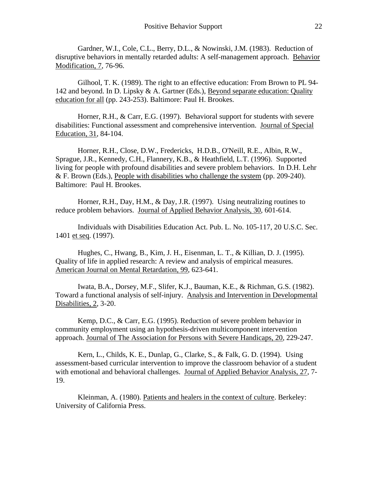Gardner, W.I., Cole, C.L., Berry, D.L., & Nowinski, J.M. (1983). Reduction of disruptive behaviors in mentally retarded adults: A self-management approach. Behavior Modification, 7, 76-96.

Gilhool, T. K. (1989). The right to an effective education: From Brown to PL 94- 142 and beyond. In D. Lipsky & A. Gartner (Eds.), Beyond separate education: Quality education for all (pp. 243-253). Baltimore: Paul H. Brookes.

Horner, R.H., & Carr, E.G. (1997). Behavioral support for students with severe disabilities: Functional assessment and comprehensive intervention. Journal of Special Education, 31, 84-104.

Horner, R.H., Close, D.W., Fredericks, H.D.B., O'Neill, R.E., Albin, R.W., Sprague, J.R., Kennedy, C.H., Flannery, K.B., & Heathfield, L.T. (1996). Supported living for people with profound disabilities and severe problem behaviors. In D.H. Lehr & F. Brown (Eds.), People with disabilities who challenge the system (pp. 209-240). Baltimore: Paul H. Brookes.

Horner, R.H., Day, H.M., & Day, J.R. (1997). Using neutralizing routines to reduce problem behaviors. Journal of Applied Behavior Analysis, 30, 601-614.

Individuals with Disabilities Education Act. Pub. L. No. 105-117, 20 U.S.C. Sec. 1401 et seq. (1997).

Hughes, C., Hwang, B., Kim, J. H., Eisenman, L. T., & Killian, D. J. (1995). Quality of life in applied research: A review and analysis of empirical measures. American Journal on Mental Retardation, 99, 623-641.

Iwata, B.A., Dorsey, M.F., Slifer, K.J., Bauman, K.E., & Richman, G.S. (1982). Toward a functional analysis of self-injury. Analysis and Intervention in Developmental Disabilities, 2, 3-20.

Kemp, D.C., & Carr, E.G. (1995). Reduction of severe problem behavior in community employment using an hypothesis-driven multicomponent intervention approach. Journal of The Association for Persons with Severe Handicaps, 20, 229-247.

Kern, L., Childs, K. E., Dunlap, G., Clarke, S., & Falk, G. D. (1994). Using assessment-based curricular intervention to improve the classroom behavior of a student with emotional and behavioral challenges. Journal of Applied Behavior Analysis, 27, 7- 19.

Kleinman, A. (1980). Patients and healers in the context of culture. Berkeley: University of California Press.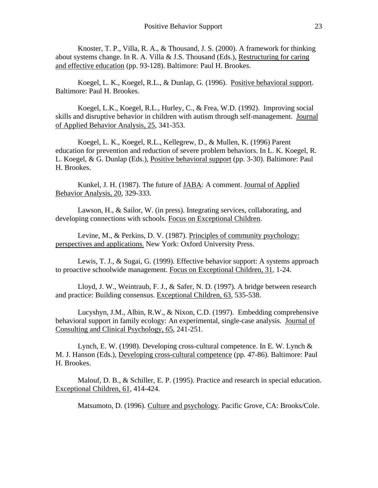Knoster, T. P., Villa, R. A., & Thousand, J. S. (2000). A framework for thinking about systems change. In R. A. Villa  $&$  J.S. Thousand (Eds.), Restructuring for caring and effective education (pp. 93-128). Baltimore: Paul H. Brookes.

Koegel, L. K., Koegel, R.L., & Dunlap, G. (1996). Positive behavioral support. Baltimore: Paul H. Brookes.

Koegel, L.K., Koegel, R.L., Hurley, C., & Frea, W.D. (1992). Improving social skills and disruptive behavior in children with autism through self-management. Journal of Applied Behavior Analysis, 25, 341-353.

Koegel, L. K., Koegel, R.L., Kellegrew, D., & Mullen, K. (1996) Parent education for prevention and reduction of severe problem behaviors. In L. K. Koegel, R. L. Koegel, & G. Dunlap (Eds.), Positive behavioral support (pp. 3-30). Baltimore: Paul H. Brookes.

Kunkel, J. H. (1987). The future of JABA: A comment. Journal of Applied Behavior Analysis, 20, 329-333.

Lawson, H., & Sailor, W. (in press). Integrating services, collaborating, and developing connections with schools. Focus on Exceptional Children.

Levine, M., & Perkins, D. V. (1987). Principles of community psychology: perspectives and applications. New York: Oxford University Press.

Lewis, T. J., & Sugai, G. (1999). Effective behavior support: A systems approach to proactive schoolwide management. Focus on Exceptional Children, 31, 1-24.

Lloyd, J. W., Weintraub, F. J., & Safer, N. D. (1997). A bridge between research and practice: Building consensus. Exceptional Children, 63, 535-538.

Lucyshyn, J.M., Albin, R.W., & Nixon, C.D. (1997). Embedding comprehensive behavioral support in family ecology: An experimental, single-case analysis. Journal of Consulting and Clinical Psychology, 65, 241-251.

Lynch, E. W. (1998). Developing cross-cultural competence. In E. W. Lynch  $\&$ M. J. Hanson (Eds.), Developing cross-cultural competence (pp. 47-86). Baltimore: Paul H. Brookes.

Malouf, D. B., & Schiller, E. P. (1995). Practice and research in special education. Exceptional Children, 61, 414-424.

Matsumoto, D. (1996). Culture and psychology. Pacific Grove, CA: Brooks/Cole.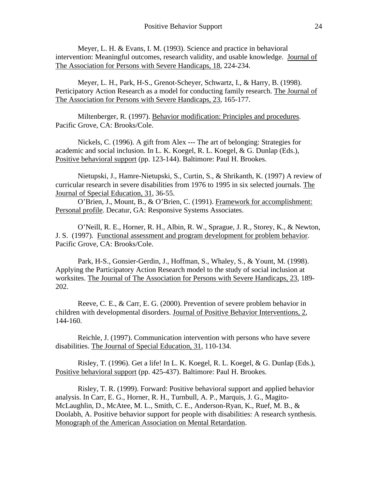Meyer, L. H. & Evans, I. M. (1993). Science and practice in behavioral intervention: Meaningful outcomes, research validity, and usable knowledge. Journal of The Association for Persons with Severe Handicaps, 18, 224-234.

Meyer, L. H., Park, H-S., Grenot-Scheyer, Schwartz, I., & Harry, B. (1998). Perticipatory Action Research as a model for conducting family research. The Journal of The Association for Persons with Severe Handicaps, 23, 165-177.

Miltenberger, R. (1997). Behavior modification: Principles and procedures. Pacific Grove, CA: Brooks/Cole.

Nickels, C. (1996). A gift from Alex --- The art of belonging: Strategies for academic and social inclusion. In L. K. Koegel, R. L. Koegel, & G. Dunlap (Eds.), Positive behavioral support (pp. 123-144). Baltimore: Paul H. Brookes.

Nietupski, J., Hamre-Nietupski, S., Curtin, S., & Shrikanth, K. (1997) A review of curricular research in severe disabilities from 1976 to 1995 in six selected journals. The Journal of Special Education, 31, 36-55.

O'Brien, J., Mount, B., & O'Brien, C. (1991). Framework for accomplishment: Personal profile. Decatur, GA: Responsive Systems Associates.

O'Neill, R. E., Horner, R. H., Albin, R. W., Sprague, J. R., Storey, K., & Newton, J. S. (1997). Functional assessment and program development for problem behavior. Pacific Grove, CA: Brooks/Cole.

Park, H-S., Gonsier-Gerdin, J., Hoffman, S., Whaley, S., & Yount, M. (1998). Applying the Participatory Action Research model to the study of social inclusion at worksites. The Journal of The Association for Persons with Severe Handicaps, 23, 189- 202.

Reeve, C. E., & Carr, E. G. (2000). Prevention of severe problem behavior in children with developmental disorders. Journal of Positive Behavior Interventions, 2, 144-160.

Reichle, J. (1997). Communication intervention with persons who have severe disabilities. The Journal of Special Education, 31, 110-134.

Risley, T. (1996). Get a life! In L. K. Koegel, R. L. Koegel, & G. Dunlap (Eds.), Positive behavioral support (pp. 425-437). Baltimore: Paul H. Brookes.

Risley, T. R. (1999). Forward: Positive behavioral support and applied behavior analysis. In Carr, E. G., Horner, R. H., Turnbull, A. P., Marquis, J. G., Magito-McLaughlin, D., McAtee, M. L., Smith, C. E., Anderson-Ryan, K., Ruef, M. B., & Doolabh, A. Positive behavior support for people with disabilities: A research synthesis. Monograph of the American Association on Mental Retardation.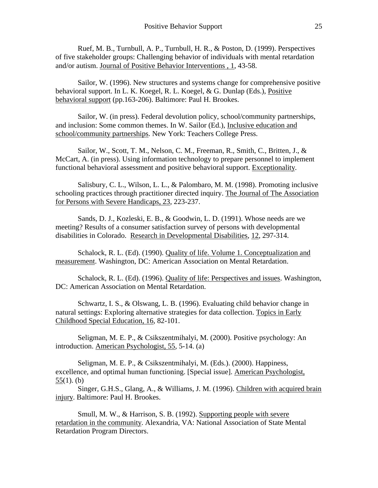Ruef, M. B., Turnbull, A. P., Turnbull, H. R., & Poston, D. (1999). Perspectives of five stakeholder groups: Challenging behavior of individuals with mental retardation and/or autism. Journal of Positive Behavior Interventions , 1, 43-58.

Sailor, W. (1996). New structures and systems change for comprehensive positive behavioral support. In L. K. Koegel, R. L. Koegel, & G. Dunlap (Eds.), Positive behavioral support (pp.163-206). Baltimore: Paul H. Brookes.

Sailor, W. (in press). Federal devolution policy, school/community partnerships, and inclusion: Some common themes. In W. Sailor (Ed.), Inclusive education and school/community partnerships. New York: Teachers College Press.

Sailor, W., Scott, T. M., Nelson, C. M., Freeman, R., Smith, C., Britten, J., & McCart, A. (in press). Using information technology to prepare personnel to implement functional behavioral assessment and positive behavioral support. Exceptionality.

Salisbury, C. L., Wilson, L. L., & Palombaro, M. M. (1998). Promoting inclusive schooling practices through practitioner directed inquiry. The Journal of The Association for Persons with Severe Handicaps, 23, 223-237.

Sands, D. J., Kozleski, E. B., & Goodwin, L. D. (1991). Whose needs are we meeting? Results of a consumer satisfaction survey of persons with developmental disabilities in Colorado. Research in Developmental Disabilities, 12, 297-314.

Schalock, R. L. (Ed). (1990). Quality of life. Volume 1. Conceptualization and measurement. Washington, DC: American Association on Mental Retardation.

Schalock, R. L. (Ed). (1996). Quality of life: Perspectives and issues. Washington, DC: American Association on Mental Retardation.

Schwartz, I. S., & Olswang, L. B. (1996). Evaluating child behavior change in natural settings: Exploring alternative strategies for data collection. Topics in Early Childhood Special Education, 16, 82-101.

Seligman, M. E. P., & Csikszentmihalyi, M. (2000). Positive psychology: An introduction. American Psychologist, 55, 5-14. (a)

Seligman, M. E. P., & Csikszentmihalyi, M. (Eds.). (2000). Happiness, excellence, and optimal human functioning. [Special issue]. American Psychologist, 55(1). (b)

Singer, G.H.S., Glang, A., & Williams, J. M. (1996). Children with acquired brain injury. Baltimore: Paul H. Brookes.

Smull, M. W., & Harrison, S. B. (1992). Supporting people with severe retardation in the community. Alexandria, VA: National Association of State Mental Retardation Program Directors.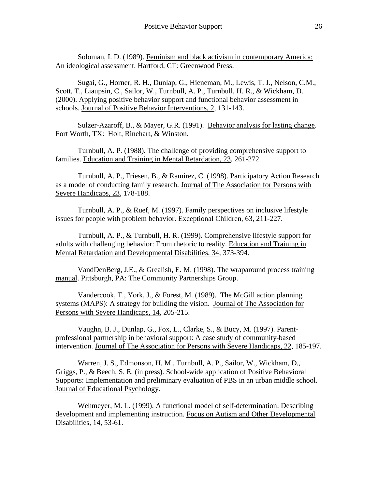Soloman, I. D. (1989). Feminism and black activism in contemporary America: An ideological assessment. Hartford, CT: Greenwood Press.

Sugai, G., Horner, R. H., Dunlap, G., Hieneman, M., Lewis, T. J., Nelson, C.M., Scott, T., Liaupsin, C., Sailor, W., Turnbull, A. P., Turnbull, H. R., & Wickham, D. (2000). Applying positive behavior support and functional behavior assessment in schools. Journal of Positive Behavior Interventions, 2, 131-143.

Sulzer-Azaroff, B., & Mayer, G.R. (1991). Behavior analysis for lasting change. Fort Worth, TX: Holt, Rinehart, & Winston.

Turnbull, A. P. (1988). The challenge of providing comprehensive support to families. Education and Training in Mental Retardation, 23, 261-272.

Turnbull, A. P., Friesen, B., & Ramirez, C. (1998). Participatory Action Research as a model of conducting family research. Journal of The Association for Persons with Severe Handicaps, 23, 178-188.

Turnbull, A. P., & Ruef, M. (1997). Family perspectives on inclusive lifestyle issues for people with problem behavior. Exceptional Children, 63, 211-227.

Turnbull, A. P., & Turnbull, H. R. (1999). Comprehensive lifestyle support for adults with challenging behavior: From rhetoric to reality. Education and Training in Mental Retardation and Developmental Disabilities, 34, 373-394.

VandDenBerg, J.E., & Grealish, E. M. (1998). The wraparound process training manual. Pittsburgh, PA: The Community Partnerships Group.

Vandercook, T., York, J., & Forest, M. (1989). The McGill action planning systems (MAPS): A strategy for building the vision. Journal of The Association for Persons with Severe Handicaps, 14, 205-215.

Vaughn, B. J., Dunlap, G., Fox, L., Clarke, S., & Bucy, M. (1997). Parentprofessional partnership in behavioral support: A case study of community-based intervention. Journal of The Association for Persons with Severe Handicaps, 22, 185-197.

Warren, J. S., Edmonson, H. M., Turnbull, A. P., Sailor, W., Wickham, D., Griggs, P., & Beech, S. E. (in press). School-wide application of Positive Behavioral Supports: Implementation and preliminary evaluation of PBS in an urban middle school. Journal of Educational Psychology.

Wehmeyer, M. L. (1999). A functional model of self-determination: Describing development and implementing instruction. Focus on Autism and Other Developmental Disabilities, 14, 53-61.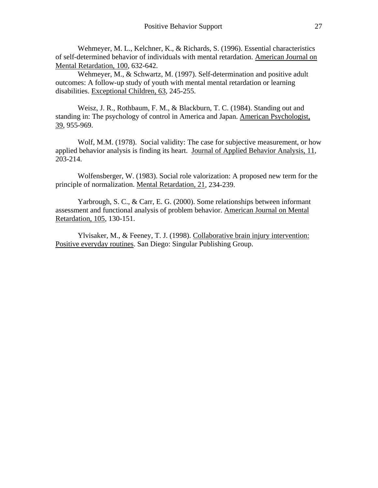Wehmeyer, M. L., Kelchner, K., & Richards, S. (1996). Essential characteristics of self-determined behavior of individuals with mental retardation. American Journal on Mental Retardation, 100, 632-642.

Wehmeyer, M., & Schwartz, M. (1997). Self-determination and positive adult outcomes: A follow-up study of youth with mental mental retardation or learning disabilities. Exceptional Children, 63, 245-255.

Weisz, J. R., Rothbaum, F. M., & Blackburn, T. C. (1984). Standing out and standing in: The psychology of control in America and Japan. American Psychologist, 39, 955-969.

Wolf, M.M. (1978). Social validity: The case for subjective measurement, or how applied behavior analysis is finding its heart. Journal of Applied Behavior Analysis, 11, 203-214.

Wolfensberger, W. (1983). Social role valorization: A proposed new term for the principle of normalization. Mental Retardation, 21, 234-239.

Yarbrough, S. C., & Carr, E. G. (2000). Some relationships between informant assessment and functional analysis of problem behavior. American Journal on Mental Retardation, 105, 130-151.

Ylvisaker, M., & Feeney, T. J. (1998). Collaborative brain injury intervention: Positive everyday routines. San Diego: Singular Publishing Group.